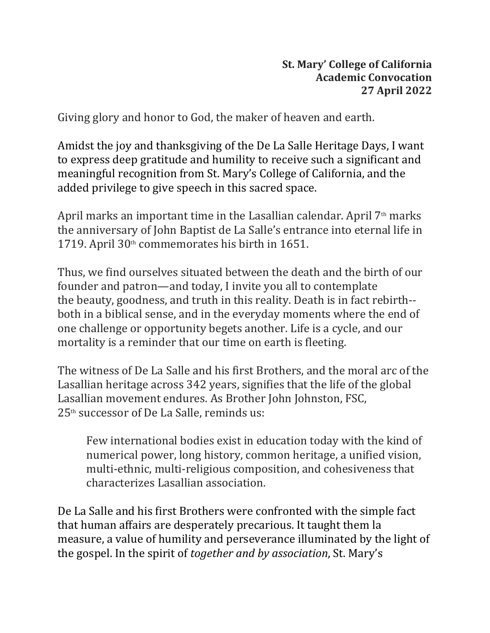Giving glory and honor to God, the maker of heaven and earth.

Amidst the joy and thanksgiving of the De La Salle Heritage Days, I want to express deep gratitude and humility to receive such a significant and meaningful recognition from St. Mary's College of California, and the added privilege to give speech in this sacred space.

April marks an important time in the Lasallian calendar. April  $7<sup>th</sup>$  marks the anniversary of John Baptist de La Salle's entrance into eternal life in 1719. April  $30<sup>th</sup>$  commemorates his birth in 1651.

Thus, we find ourselves situated between the death and the birth of our founder and patron—and today, I invite you all to contemplate the beauty, goodness, and truth in this reality. Death is in fact rebirth- both in a biblical sense, and in the everyday moments where the end of one challenge or opportunity begets another. Life is a cycle, and our mortality is a reminder that our time on earth is fleeting.

The witness of De La Salle and his first Brothers, and the moral arc of the Lasallian heritage across 342 years, signifies that the life of the global Lasallian movement endures. As Brother John Johnston, FSC, 25th successor of De La Salle, reminds us:

Few international bodies exist in education today with the kind of numerical power, long history, common heritage, a unified vision, multi-ethnic, multi-religious composition, and cohesiveness that characterizes Lasallian association.

De La Salle and his first Brothers were confronted with the simple fact that human affairs are desperately precarious. It taught them la measure, a value of humility and perseverance illuminated by the light of the gospel. In the spirit of *together and by association*, St. Mary's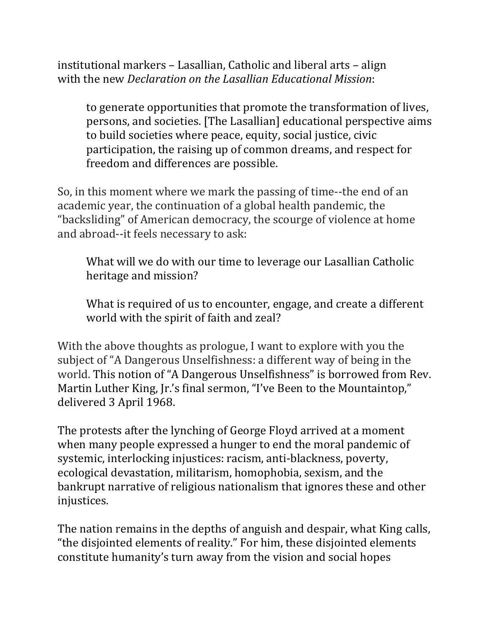institutional markers – Lasallian, Catholic and liberal arts – align with the new *Declaration on the Lasallian Educational Mission*:

to generate opportunities that promote the transformation of lives, persons, and societies. [The Lasallian] educational perspective aims to build societies where peace, equity, social justice, civic participation, the raising up of common dreams, and respect for freedom and differences are possible.

So, in this moment where we mark the passing of time--the end of an academic year, the continuation of a global health pandemic, the "backsliding" of American democracy, the scourge of violence at home and abroad--it feels necessary to ask:

What will we do with our time to leverage our Lasallian Catholic heritage and mission?

What is required of us to encounter, engage, and create a different world with the spirit of faith and zeal?

With the above thoughts as prologue, I want to explore with you the subject of "A Dangerous Unselfishness: a different way of being in the world. This notion of "A Dangerous Unselfishness" is borrowed from Rev. Martin Luther King, Jr.'s final sermon, "I've Been to the Mountaintop," delivered 3 April 1968.

The protests after the lynching of George Floyd arrived at a moment when many people expressed a hunger to end the moral pandemic of systemic, interlocking injustices: racism, anti-blackness, poverty, ecological devastation, militarism, homophobia, sexism, and the bankrupt narrative of religious nationalism that ignores these and other injustices.

The nation remains in the depths of anguish and despair, what King calls, "the disjointed elements of reality." For him, these disjointed elements constitute humanity's turn away from the vision and social hopes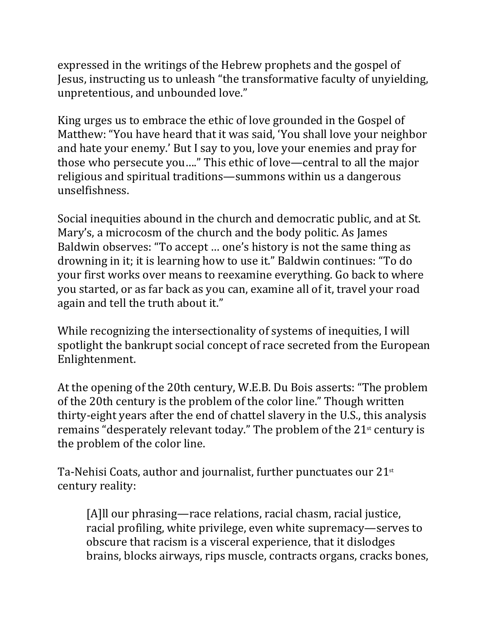expressed in the writings of the Hebrew prophets and the gospel of Jesus, instructing us to unleash "the transformative faculty of unyielding, unpretentious, and unbounded love."

King urges us to embrace the ethic of love grounded in the Gospel of Matthew: "You have heard that it was said, 'You shall love your neighbor and hate your enemy.' But I say to you, love your enemies and pray for those who persecute you…." This ethic of love—central to all the major religious and spiritual traditions—summons within us a dangerous unselfishness.

Social inequities abound in the church and democratic public, and at St. Mary's, a microcosm of the church and the body politic. As James Baldwin observes: "To accept … one's history is not the same thing as drowning in it; it is learning how to use it." Baldwin continues: "To do your first works over means to reexamine everything. Go back to where you started, or as far back as you can, examine all of it, travel your road again and tell the truth about it."

While recognizing the intersectionality of systems of inequities, I will spotlight the bankrupt social concept of race secreted from the European Enlightenment.

At the opening of the 20th century, W.E.B. Du Bois asserts: "The problem of the 20th century is the problem of the color line." Though written thirty-eight years after the end of chattel slavery in the U.S., this analysis remains "desperately relevant today." The problem of the  $21<sup>st</sup>$  century is the problem of the color line.

Ta-Nehisi Coats, author and journalist, further punctuates our  $21<sup>st</sup>$ century reality:

[A]ll our phrasing—race relations, racial chasm, racial justice, racial profiling, white privilege, even white supremacy—serves to obscure that racism is a visceral experience, that it dislodges brains, blocks airways, rips muscle, contracts organs, cracks bones,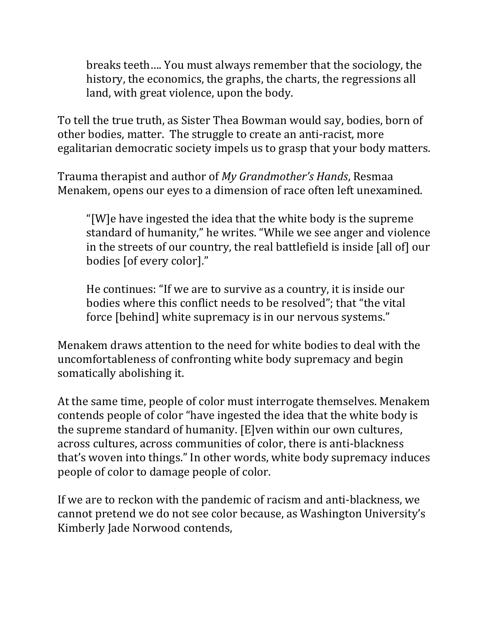breaks teeth…. You must always remember that the sociology, the history, the economics, the graphs, the charts, the regressions all land, with great violence, upon the body.

To tell the true truth, as Sister Thea Bowman would say, bodies, born of other bodies, matter. The struggle to create an anti-racist, more egalitarian democratic society impels us to grasp that your body matters.

Trauma therapist and author of *My Grandmother's Hands*, Resmaa Menakem, opens our eyes to a dimension of race often left unexamined.

"[W]e have ingested the idea that the white body is the supreme standard of humanity," he writes. "While we see anger and violence in the streets of our country, the real battlefield is inside [all of] our bodies [of every color]."

He continues: "If we are to survive as a country, it is inside our bodies where this conflict needs to be resolved"; that "the vital force [behind] white supremacy is in our nervous systems."

Menakem draws attention to the need for white bodies to deal with the uncomfortableness of confronting white body supremacy and begin somatically abolishing it.

At the same time, people of color must interrogate themselves. Menakem contends people of color "have ingested the idea that the white body is the supreme standard of humanity. [E]ven within our own cultures, across cultures, across communities of color, there is anti-blackness that's woven into things." In other words, white body supremacy induces people of color to damage people of color.

If we are to reckon with the pandemic of racism and anti-blackness, we cannot pretend we do not see color because, as Washington University's Kimberly Jade Norwood contends,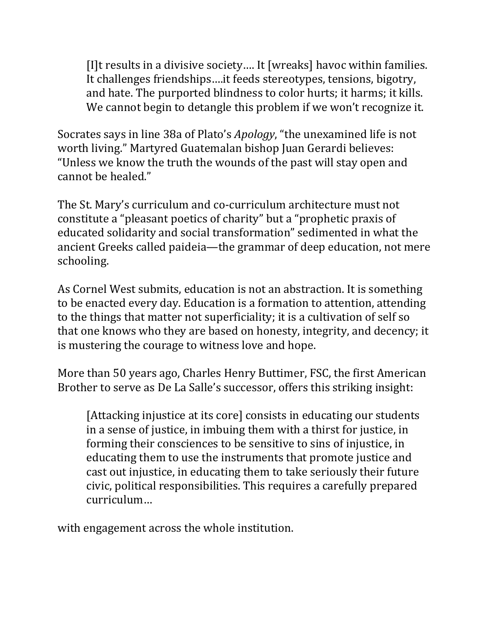[I]t results in a divisive society…. It [wreaks] havoc within families. It challenges friendships….it feeds stereotypes, tensions, bigotry, and hate. The purported blindness to color hurts; it harms; it kills. We cannot begin to detangle this problem if we won't recognize it.

Socrates says in line 38a of Plato's *Apology*, "the unexamined life is not worth living." Martyred Guatemalan bishop Juan Gerardi believes: "Unless we know the truth the wounds of the past will stay open and cannot be healed."

The St. Mary's curriculum and co-curriculum architecture must not constitute a "pleasant poetics of charity" but a "prophetic praxis of educated solidarity and social transformation" sedimented in what the ancient Greeks called paideia—the grammar of deep education, not mere schooling.

As Cornel West submits, education is not an abstraction. It is something to be enacted every day. Education is a formation to attention, attending to the things that matter not superficiality; it is a cultivation of self so that one knows who they are based on honesty, integrity, and decency; it is mustering the courage to witness love and hope.

More than 50 years ago, Charles Henry Buttimer, FSC, the first American Brother to serve as De La Salle's successor, offers this striking insight:

[Attacking injustice at its core] consists in educating our students in a sense of justice, in imbuing them with a thirst for justice, in forming their consciences to be sensitive to sins of injustice, in educating them to use the instruments that promote justice and cast out injustice, in educating them to take seriously their future civic, political responsibilities. This requires a carefully prepared curriculum…

with engagement across the whole institution.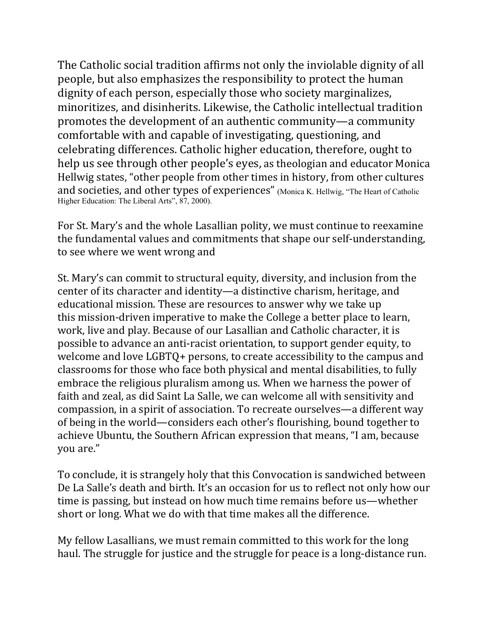The Catholic social tradition affirms not only the inviolable dignity of all people, but also emphasizes the responsibility to protect the human dignity of each person, especially those who society marginalizes, minoritizes, and disinherits. Likewise, the Catholic intellectual tradition promotes the development of an authentic community—a community comfortable with and capable of investigating, questioning, and celebrating differences. Catholic higher education, therefore, ought to help us see through other people's eyes, as theologian and educator Monica Hellwig states, "other people from other times in history, from other cultures and societies, and other types of experiences" (Monica K. Hellwig, "The Heart of Catholic Higher Education: The Liberal Arts", 87, 2000).

For St. Mary's and the whole Lasallian polity, we must continue to reexamine the fundamental values and commitments that shape our self-understanding, to see where we went wrong and

St. Mary's can commit to structural equity, diversity, and inclusion from the center of its character and identity—a distinctive charism, heritage, and educational mission. These are resources to answer why we take up this mission-driven imperative to make the College a better place to learn, work, live and play. Because of our Lasallian and Catholic character, it is possible to advance an anti-racist orientation, to support gender equity, to welcome and love LGBTQ+ persons, to create accessibility to the campus and classrooms for those who face both physical and mental disabilities, to fully embrace the religious pluralism among us. When we harness the power of faith and zeal, as did Saint La Salle, we can welcome all with sensitivity and compassion, in a spirit of association. To recreate ourselves—a different way of being in the world—considers each other's flourishing, bound together to achieve Ubuntu, the Southern African expression that means, "I am, because you are."

To conclude, it is strangely holy that this Convocation is sandwiched between De La Salle's death and birth. It's an occasion for us to reflect not only how our time is passing, but instead on how much time remains before us—whether short or long. What we do with that time makes all the difference.

My fellow Lasallians, we must remain committed to this work for the long haul. The struggle for justice and the struggle for peace is a long-distance run.